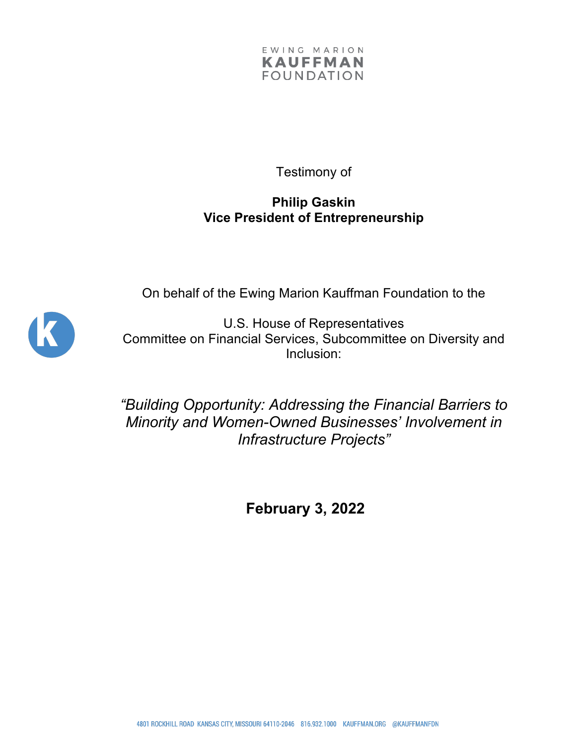

Testimony of

## **Philip Gaskin Vice President of Entrepreneurship**

On behalf of the Ewing Marion Kauffman Foundation to the



U.S. House of Representatives Committee on Financial Services, Subcommittee on Diversity and Inclusion:

*"Building Opportunity: Addressing the Financial Barriers to Minority and Women-Owned Businesses' Involvement in Infrastructure Projects"*

**February 3, 2022**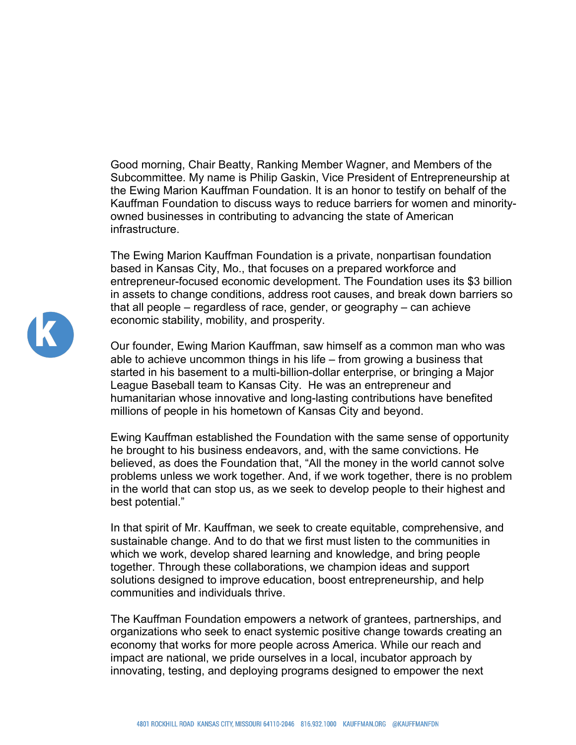Good morning, Chair Beatty, Ranking Member Wagner, and Members of the Subcommittee. My name is Philip Gaskin, Vice President of Entrepreneurship at the Ewing Marion Kauffman Foundation. It is an honor to testify on behalf of the Kauffman Foundation to discuss ways to reduce barriers for women and minorityowned businesses in contributing to advancing the state of American infrastructure.

The Ewing Marion Kauffman Foundation is a private, nonpartisan foundation based in Kansas City, Mo., that focuses on a prepared workforce and entrepreneur-focused economic development. The Foundation uses its \$3 billion in assets to change conditions, address root causes, and break down barriers so that all people – regardless of race, gender, or geography – can achieve economic stability, mobility, and prosperity.

Our founder, Ewing Marion Kauffman, saw himself as a common man who was able to achieve uncommon things in his life – from growing a business that started in his basement to a multi-billion-dollar enterprise, or bringing a Major League Baseball team to Kansas City. He was an entrepreneur and humanitarian whose innovative and long-lasting contributions have benefited millions of people in his hometown of Kansas City and beyond.

Ewing Kauffman established the Foundation with the same sense of opportunity he brought to his business endeavors, and, with the same convictions. He believed, as does the Foundation that, "All the money in the world cannot solve problems unless we work together. And, if we work together, there is no problem in the world that can stop us, as we seek to develop people to their highest and best potential."

In that spirit of Mr. Kauffman, we seek to create equitable, comprehensive, and sustainable change. And to do that we first must listen to the communities in which we work, develop shared learning and knowledge, and bring people together. Through these collaborations, we champion ideas and support solutions designed to improve education, boost entrepreneurship, and help communities and individuals thrive.

The Kauffman Foundation empowers a network of grantees, partnerships, and organizations who seek to enact systemic positive change towards creating an economy that works for more people across America. While our reach and impact are national, we pride ourselves in a local, incubator approach by innovating, testing, and deploying programs designed to empower the next

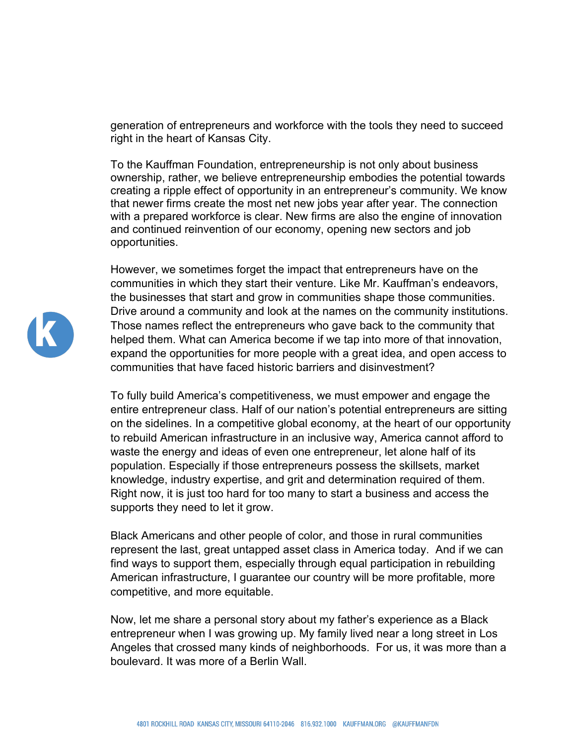generation of entrepreneurs and workforce with the tools they need to succeed right in the heart of Kansas City.

To the Kauffman Foundation, entrepreneurship is not only about business ownership, rather, we believe entrepreneurship embodies the potential towards creating a ripple effect of opportunity in an entrepreneur's community. We know that newer firms create the most net new jobs year after year. The connection with a prepared workforce is clear. New firms are also the engine of innovation and continued reinvention of our economy, opening new sectors and job opportunities.

However, we sometimes forget the impact that entrepreneurs have on the communities in which they start their venture. Like Mr. Kauffman's endeavors, the businesses that start and grow in communities shape those communities. Drive around a community and look at the names on the community institutions. Those names reflect the entrepreneurs who gave back to the community that helped them. What can America become if we tap into more of that innovation, expand the opportunities for more people with a great idea, and open access to communities that have faced historic barriers and disinvestment?

To fully build America's competitiveness, we must empower and engage the entire entrepreneur class. Half of our nation's potential entrepreneurs are sitting on the sidelines. In a competitive global economy, at the heart of our opportunity to rebuild American infrastructure in an inclusive way, America cannot afford to waste the energy and ideas of even one entrepreneur, let alone half of its population. Especially if those entrepreneurs possess the skillsets, market knowledge, industry expertise, and grit and determination required of them. Right now, it is just too hard for too many to start a business and access the supports they need to let it grow.

Black Americans and other people of color, and those in rural communities represent the last, great untapped asset class in America today. And if we can find ways to support them, especially through equal participation in rebuilding American infrastructure, I guarantee our country will be more profitable, more competitive, and more equitable.

Now, let me share a personal story about my father's experience as a Black entrepreneur when I was growing up. My family lived near a long street in Los Angeles that crossed many kinds of neighborhoods. For us, it was more than a boulevard. It was more of a Berlin Wall.

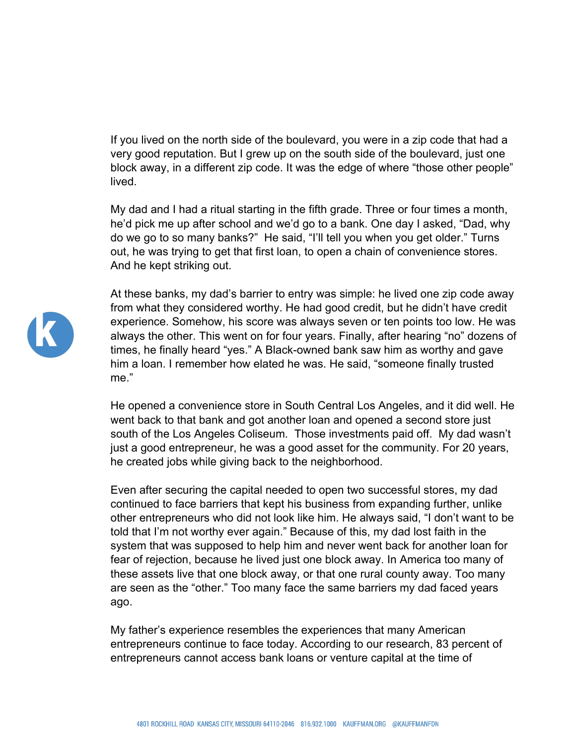If you lived on the north side of the boulevard, you were in a zip code that had a very good reputation. But I grew up on the south side of the boulevard, just one block away, in a different zip code. It was the edge of where "those other people" lived.

My dad and I had a ritual starting in the fifth grade. Three or four times a month, he'd pick me up after school and we'd go to a bank. One day I asked, "Dad, why do we go to so many banks?" He said, "I'll tell you when you get older." Turns out, he was trying to get that first loan, to open a chain of convenience stores. And he kept striking out.

At these banks, my dad's barrier to entry was simple: he lived one zip code away from what they considered worthy. He had good credit, but he didn't have credit experience. Somehow, his score was always seven or ten points too low. He was always the other. This went on for four years. Finally, after hearing "no" dozens of times, he finally heard "yes." A Black-owned bank saw him as worthy and gave him a loan. I remember how elated he was. He said, "someone finally trusted me."

He opened a convenience store in South Central Los Angeles, and it did well. He went back to that bank and got another loan and opened a second store just south of the Los Angeles Coliseum. Those investments paid off. My dad wasn't just a good entrepreneur, he was a good asset for the community. For 20 years, he created jobs while giving back to the neighborhood.

Even after securing the capital needed to open two successful stores, my dad continued to face barriers that kept his business from expanding further, unlike other entrepreneurs who did not look like him. He always said, "I don't want to be told that I'm not worthy ever again." Because of this, my dad lost faith in the system that was supposed to help him and never went back for another loan for fear of rejection, because he lived just one block away. In America too many of these assets live that one block away, or that one rural county away. Too many are seen as the "other." Too many face the same barriers my dad faced years ago.

My father's experience resembles the experiences that many American entrepreneurs continue to face today. According to our research, 83 percent of entrepreneurs cannot access bank loans or venture capital at the time of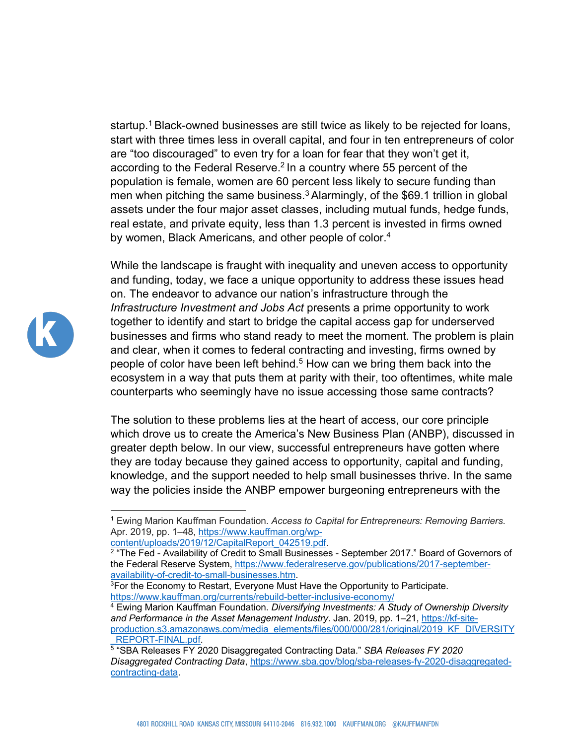startup.<sup>1</sup> Black-owned businesses are still twice as likely to be rejected for loans, start with three times less in overall capital, and four in ten entrepreneurs of color are "too discouraged" to even try for a loan for fear that they won't get it, according to the Federal Reserve.<sup>2</sup> In a country where 55 percent of the population is female, women are 60 percent less likely to secure funding than men when pitching the same business.<sup>3</sup> Alarmingly, of the \$69.1 trillion in global assets under the four major asset classes, including mutual funds, hedge funds, real estate, and private equity, less than 1.3 percent is invested in firms owned by women, Black Americans, and other people of color.<sup>4</sup>



While the landscape is fraught with inequality and uneven access to opportunity and funding, today, we face a unique opportunity to address these issues head on. The endeavor to advance our nation's infrastructure through the *Infrastructure Investment and Jobs Act* presents a prime opportunity to work together to identify and start to bridge the capital access gap for underserved businesses and firms who stand ready to meet the moment. The problem is plain and clear, when it comes to federal contracting and investing, firms owned by people of color have been left behind.<sup>5</sup> How can we bring them back into the ecosystem in a way that puts them at parity with their, too oftentimes, white male counterparts who seemingly have no issue accessing those same contracts?

The solution to these problems lies at the heart of access, our core principle which drove us to create the America's New Business Plan (ANBP), discussed in greater depth below. In our view, successful entrepreneurs have gotten where they are today because they gained access to opportunity, capital and funding, knowledge, and the support needed to help small businesses thrive. In the same way the policies inside the ANBP empower burgeoning entrepreneurs with the

```
content/uploads/2019/12/CapitalReport_042519.pdf.
```
<sup>1</sup> Ewing Marion Kauffman Foundation. *Access to Capital for Entrepreneurs: Removing Barriers*. Apr. 2019, pp. 1–48, https://www.kauffman.org/wp-

<sup>&</sup>lt;sup>2</sup> "The Fed - Availability of Credit to Small Businesses - September 2017." Board of Governors of the Federal Reserve System, https://www.federalreserve.gov/publications/2017-septemberavailability-of-credit-to-small-businesses.htm.

<sup>&</sup>lt;sup>3</sup>For the Economy to Restart, Everyone Must Have the Opportunity to Participate. https://www.kauffman.org/currents/rebuild-better-inclusive-economy/

<sup>4</sup> Ewing Marion Kauffman Foundation. *Diversifying Investments: A Study of Ownership Diversity and Performance in the Asset Management Industry*. Jan. 2019, pp. 1–21, https://kf-siteproduction.s3.amazonaws.com/media\_elements/files/000/000/281/original/2019\_KF\_DIVERSITY \_REPORT-FINAL.pdf.

<sup>5</sup> "SBA Releases FY 2020 Disaggregated Contracting Data." *SBA Releases FY 2020 Disaggregated Contracting Data*, https://www.sba.gov/blog/sba-releases-fy-2020-disaggregatedcontracting-data.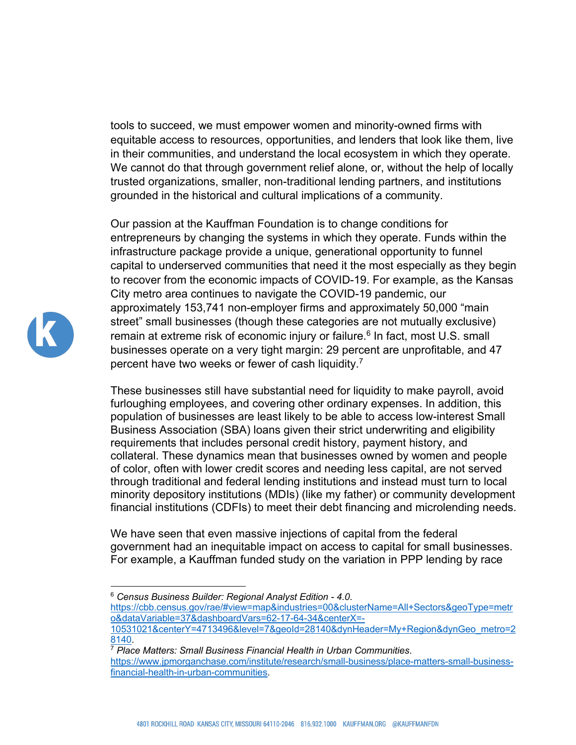tools to succeed, we must empower women and minority-owned firms with equitable access to resources, opportunities, and lenders that look like them, live in their communities, and understand the local ecosystem in which they operate. We cannot do that through government relief alone, or, without the help of locally trusted organizations, smaller, non-traditional lending partners, and institutions grounded in the historical and cultural implications of a community.

Our passion at the Kauffman Foundation is to change conditions for entrepreneurs by changing the systems in which they operate. Funds within the infrastructure package provide a unique, generational opportunity to funnel capital to underserved communities that need it the most especially as they begin to recover from the economic impacts of COVID-19. For example, as the Kansas City metro area continues to navigate the COVID-19 pandemic, our approximately 153,741 non-employer firms and approximately 50,000 "main street" small businesses (though these categories are not mutually exclusive) remain at extreme risk of economic injury or failure.<sup>6</sup> In fact, most U.S. small businesses operate on a very tight margin: 29 percent are unprofitable, and 47 percent have two weeks or fewer of cash liquidity.<sup>7</sup>

These businesses still have substantial need for liquidity to make payroll, avoid furloughing employees, and covering other ordinary expenses. In addition, this population of businesses are least likely to be able to access low-interest Small Business Association (SBA) loans given their strict underwriting and eligibility requirements that includes personal credit history, payment history, and collateral. These dynamics mean that businesses owned by women and people of color, often with lower credit scores and needing less capital, are not served through traditional and federal lending institutions and instead must turn to local minority depository institutions (MDIs) (like my father) or community development financial institutions (CDFIs) to meet their debt financing and microlending needs.

We have seen that even massive injections of capital from the federal government had an inequitable impact on access to capital for small businesses. For example, a Kauffman funded study on the variation in PPP lending by race



<sup>6</sup> *Census Business Builder: Regional Analyst Edition - 4.0*.

https://cbb.census.gov/rae/#view=map&industries=00&clusterName=All+Sectors&geoType=metr o&dataVariable=37&dashboardVars=62-17-64-34&centerX=-10531021&centerY=4713496&level=7&geoId=28140&dynHeader=My+Region&dynGeo\_metro=2

<sup>8140.</sup>

<sup>7</sup> *Place Matters: Small Business Financial Health in Urban Communities*. https://www.jpmorganchase.com/institute/research/small-business/place-matters-small-businessfinancial-health-in-urban-communities.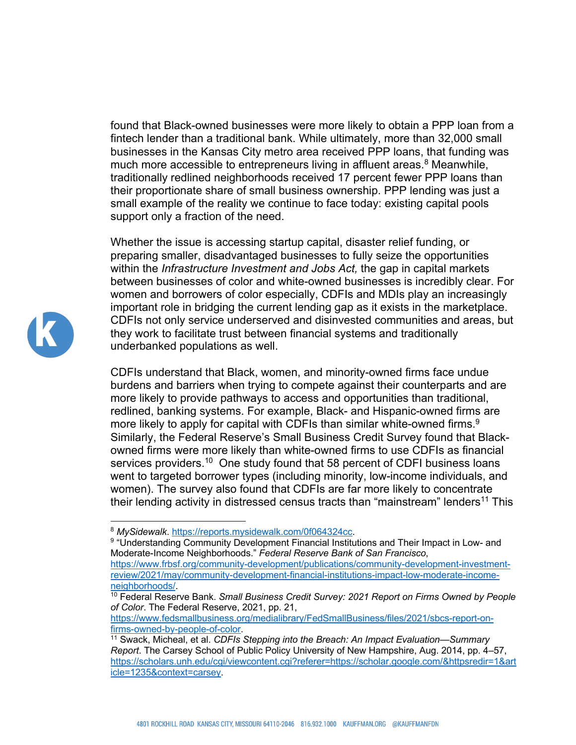found that Black-owned businesses were more likely to obtain a PPP loan from a fintech lender than a traditional bank. While ultimately, more than 32,000 small businesses in the Kansas City metro area received PPP loans, that funding was much more accessible to entrepreneurs living in affluent areas.<sup>8</sup> Meanwhile, traditionally redlined neighborhoods received 17 percent fewer PPP loans than their proportionate share of small business ownership. PPP lending was just a small example of the reality we continue to face today: existing capital pools support only a fraction of the need.

Whether the issue is accessing startup capital, disaster relief funding, or preparing smaller, disadvantaged businesses to fully seize the opportunities within the *Infrastructure Investment and Jobs Act,* the gap in capital markets between businesses of color and white-owned businesses is incredibly clear. For women and borrowers of color especially, CDFIs and MDIs play an increasingly important role in bridging the current lending gap as it exists in the marketplace. CDFIs not only service underserved and disinvested communities and areas, but they work to facilitate trust between financial systems and traditionally underbanked populations as well.

CDFIs understand that Black, women, and minority-owned firms face undue burdens and barriers when trying to compete against their counterparts and are more likely to provide pathways to access and opportunities than traditional, redlined, banking systems. For example, Black- and Hispanic-owned firms are more likely to apply for capital with CDFIs than similar white-owned firms.<sup>9</sup> Similarly, the Federal Reserve's Small Business Credit Survey found that Blackowned firms were more likely than white-owned firms to use CDFIs as financial services providers.<sup>10</sup> One study found that 58 percent of CDFI business loans went to targeted borrower types (including minority, low-income individuals, and women). The survey also found that CDFIs are far more likely to concentrate their lending activity in distressed census tracts than "mainstream" lenders<sup>11</sup> This



<sup>&</sup>lt;sup>8</sup> *MySidewalk*. <u>https://reports.mysidewalk.com/0f064324cc</u>.<br><sup>9 </sup>"Understanding Community Development Financial Institutions and Their Impact in Low- and Moderate-Income Neighborhoods." *Federal Reserve Bank of San Francisco*, https://www.frbsf.org/community-development/publications/community-development-investmentreview/2021/may/community-development-financial-institutions-impact-low-moderate-incomeneighborhoods/.<br><sup>10</sup> Federal Reserve Bank. *Small Business Credit Survey: 2021 Report on Firms Owned by People* 

*of Color*. The Federal Reserve, 2021, pp. 21,

https://www.fedsmallbusiness.org/medialibrary/FedSmallBusiness/files/2021/sbcs-report-onfirms-owned-by-people-of-color.<br><sup>11</sup> Swack, Micheal, et al. *CDFIs Stepping into the Breach: An Impact Evaluation—Summary* 

*Report*. The Carsey School of Public Policy University of New Hampshire, Aug. 2014, pp. 4–57, https://scholars.unh.edu/cgi/viewcontent.cgi?referer=https://scholar.google.com/&httpsredir=1&art icle=1235&context=carsey.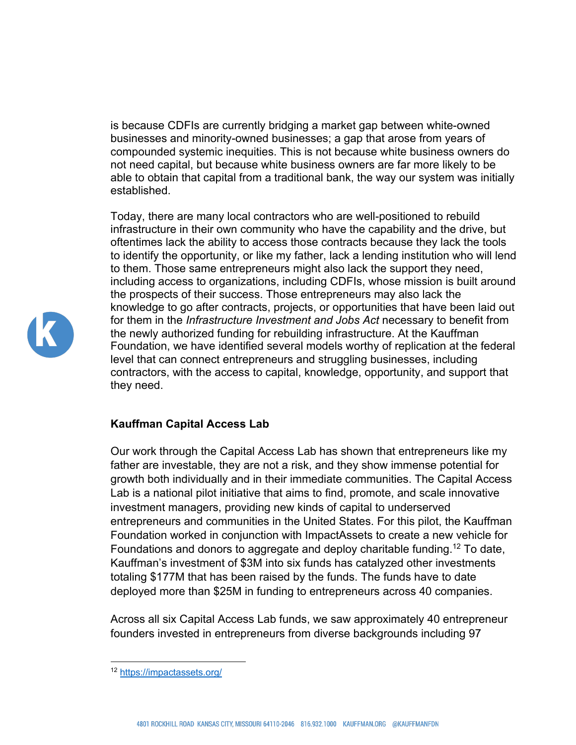is because CDFIs are currently bridging a market gap between white-owned businesses and minority-owned businesses; a gap that arose from years of compounded systemic inequities. This is not because white business owners do not need capital, but because white business owners are far more likely to be able to obtain that capital from a traditional bank, the way our system was initially established.

Today, there are many local contractors who are well-positioned to rebuild infrastructure in their own community who have the capability and the drive, but oftentimes lack the ability to access those contracts because they lack the tools to identify the opportunity, or like my father, lack a lending institution who will lend to them. Those same entrepreneurs might also lack the support they need, including access to organizations, including CDFIs, whose mission is built around the prospects of their success. Those entrepreneurs may also lack the knowledge to go after contracts, projects, or opportunities that have been laid out for them in the *Infrastructure Investment and Jobs Act* necessary to benefit from the newly authorized funding for rebuilding infrastructure. At the Kauffman Foundation, we have identified several models worthy of replication at the federal level that can connect entrepreneurs and struggling businesses, including contractors, with the access to capital, knowledge, opportunity, and support that they need.

## **Kauffman Capital Access Lab**

Our work through the Capital Access Lab has shown that entrepreneurs like my father are investable, they are not a risk, and they show immense potential for growth both individually and in their immediate communities. The Capital Access Lab is a national pilot initiative that aims to find, promote, and scale innovative investment managers, providing new kinds of capital to underserved entrepreneurs and communities in the United States. For this pilot, the Kauffman Foundation worked in conjunction with ImpactAssets to create a new vehicle for Foundations and donors to aggregate and deploy charitable funding.<sup>12</sup> To date, Kauffman's investment of \$3M into six funds has catalyzed other investments totaling \$177M that has been raised by the funds. The funds have to date deployed more than \$25M in funding to entrepreneurs across 40 companies.

Across all six Capital Access Lab funds, we saw approximately 40 entrepreneur founders invested in entrepreneurs from diverse backgrounds including 97



<sup>12</sup> https://impactassets.org/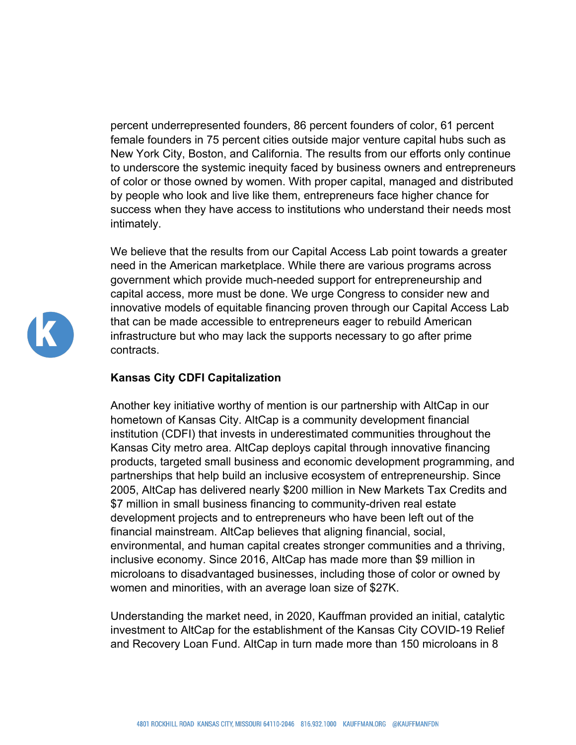percent underrepresented founders, 86 percent founders of color, 61 percent female founders in 75 percent cities outside major venture capital hubs such as New York City, Boston, and California. The results from our efforts only continue to underscore the systemic inequity faced by business owners and entrepreneurs of color or those owned by women. With proper capital, managed and distributed by people who look and live like them, entrepreneurs face higher chance for success when they have access to institutions who understand their needs most intimately.

We believe that the results from our Capital Access Lab point towards a greater need in the American marketplace. While there are various programs across government which provide much-needed support for entrepreneurship and capital access, more must be done. We urge Congress to consider new and innovative models of equitable financing proven through our Capital Access Lab that can be made accessible to entrepreneurs eager to rebuild American infrastructure but who may lack the supports necessary to go after prime contracts.

## **Kansas City CDFI Capitalization**

Another key initiative worthy of mention is our partnership with AltCap in our hometown of Kansas City. AltCap is a community development financial institution (CDFI) that invests in underestimated communities throughout the Kansas City metro area. AltCap deploys capital through innovative financing products, targeted small business and economic development programming, and partnerships that help build an inclusive ecosystem of entrepreneurship. Since 2005, AltCap has delivered nearly \$200 million in New Markets Tax Credits and \$7 million in small business financing to community-driven real estate development projects and to entrepreneurs who have been left out of the financial mainstream. AltCap believes that aligning financial, social, environmental, and human capital creates stronger communities and a thriving, inclusive economy. Since 2016, AltCap has made more than \$9 million in microloans to disadvantaged businesses, including those of color or owned by women and minorities, with an average loan size of \$27K.

Understanding the market need, in 2020, Kauffman provided an initial, catalytic investment to AltCap for the establishment of the Kansas City COVID-19 Relief and Recovery Loan Fund. AltCap in turn made more than 150 microloans in 8

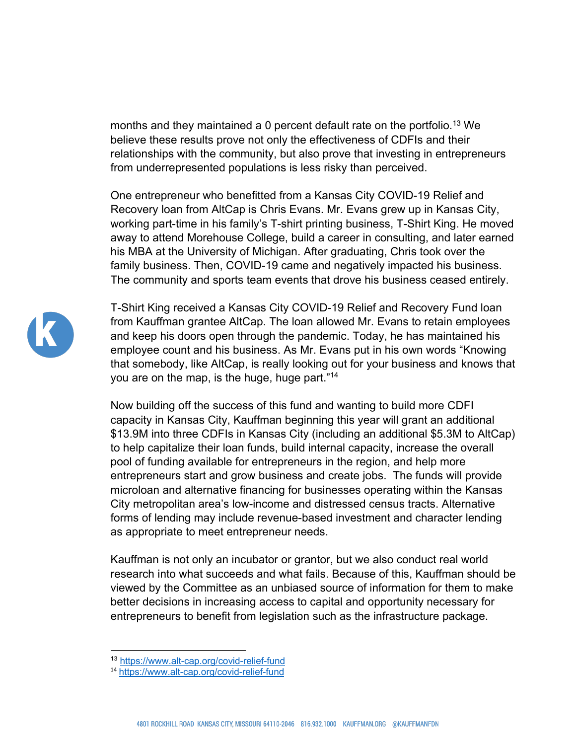months and they maintained a 0 percent default rate on the portfolio.<sup>13</sup> We believe these results prove not only the effectiveness of CDFIs and their relationships with the community, but also prove that investing in entrepreneurs from underrepresented populations is less risky than perceived.

One entrepreneur who benefitted from a Kansas City COVID-19 Relief and Recovery loan from AltCap is Chris Evans. Mr. Evans grew up in Kansas City, working part-time in his family's T-shirt printing business, T-Shirt King. He moved away to attend Morehouse College, build a career in consulting, and later earned his MBA at the University of Michigan. After graduating, Chris took over the family business. Then, COVID-19 came and negatively impacted his business. The community and sports team events that drove his business ceased entirely.



T-Shirt King received a Kansas City COVID-19 Relief and Recovery Fund loan from Kauffman grantee AltCap. The loan allowed Mr. Evans to retain employees and keep his doors open through the pandemic. Today, he has maintained his employee count and his business. As Mr. Evans put in his own words "Knowing that somebody, like AltCap, is really looking out for your business and knows that you are on the map, is the huge, huge part."14

Now building off the success of this fund and wanting to build more CDFI capacity in Kansas City, Kauffman beginning this year will grant an additional \$13.9M into three CDFIs in Kansas City (including an additional \$5.3M to AltCap) to help capitalize their loan funds, build internal capacity, increase the overall pool of funding available for entrepreneurs in the region, and help more entrepreneurs start and grow business and create jobs. The funds will provide microloan and alternative financing for businesses operating within the Kansas City metropolitan area's low-income and distressed census tracts. Alternative forms of lending may include revenue-based investment and character lending as appropriate to meet entrepreneur needs.

Kauffman is not only an incubator or grantor, but we also conduct real world research into what succeeds and what fails. Because of this, Kauffman should be viewed by the Committee as an unbiased source of information for them to make better decisions in increasing access to capital and opportunity necessary for entrepreneurs to benefit from legislation such as the infrastructure package.

<sup>13</sup> https://www.alt-cap.org/covid-relief-fund

<sup>14</sup> https://www.alt-cap.org/covid-relief-fund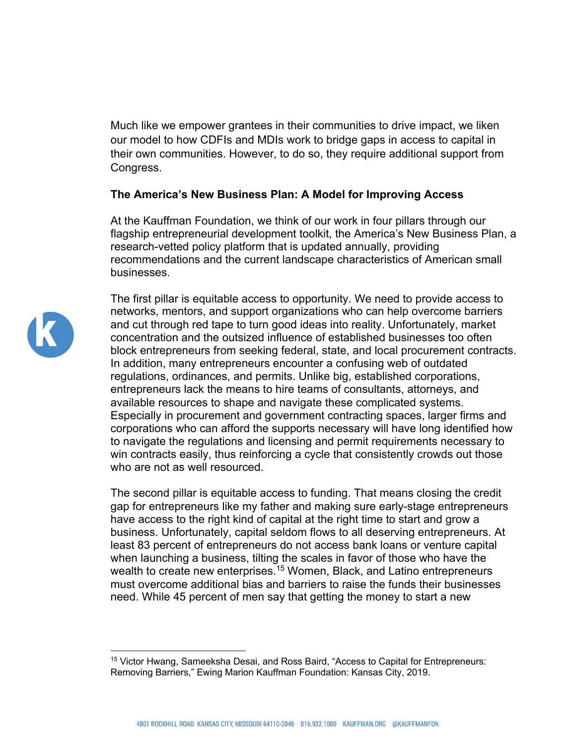Much like we empower grantees in their communities to drive impact, we liken our model to how CDFIs and MDIs work to bridge gaps in access to capital in their own communities. However, to do so, they require additional support from Congress.

## **The America's New Business Plan: A Model for Improving Access**

At the Kauffman Foundation, we think of our work in four pillars through our flagship entrepreneurial development toolkit, the America's New Business Plan, a research-vetted policy platform that is updated annually, providing recommendations and the current landscape characteristics of American small businesses.



The first pillar is equitable access to opportunity. We need to provide access to networks, mentors, and support organizations who can help overcome barriers and cut through red tape to turn good ideas into reality. Unfortunately, market concentration and the outsized influence of established businesses too often block entrepreneurs from seeking federal, state, and local procurement contracts. In addition, many entrepreneurs encounter a confusing web of outdated regulations, ordinances, and permits. Unlike big, established corporations, entrepreneurs lack the means to hire teams of consultants, attorneys, and available resources to shape and navigate these complicated systems. Especially in procurement and government contracting spaces, larger firms and corporations who can afford the supports necessary will have long identified how to navigate the regulations and licensing and permit requirements necessary to win contracts easily, thus reinforcing a cycle that consistently crowds out those who are not as well resourced.

The second pillar is equitable access to funding. That means closing the credit gap for entrepreneurs like my father and making sure early-stage entrepreneurs have access to the right kind of capital at the right time to start and grow a business. Unfortunately, capital seldom flows to all deserving entrepreneurs. At least 83 percent of entrepreneurs do not access bank loans or venture capital when launching a business, tilting the scales in favor of those who have the wealth to create new enterprises.<sup>15</sup> Women, Black, and Latino entrepreneurs must overcome additional bias and barriers to raise the funds their businesses need. While 45 percent of men say that getting the money to start a new

<sup>&</sup>lt;sup>15</sup> Victor Hwang, Sameeksha Desai, and Ross Baird, "Access to Capital for Entrepreneurs: Removing Barriers," Ewing Marion Kauffman Foundation: Kansas City, 2019.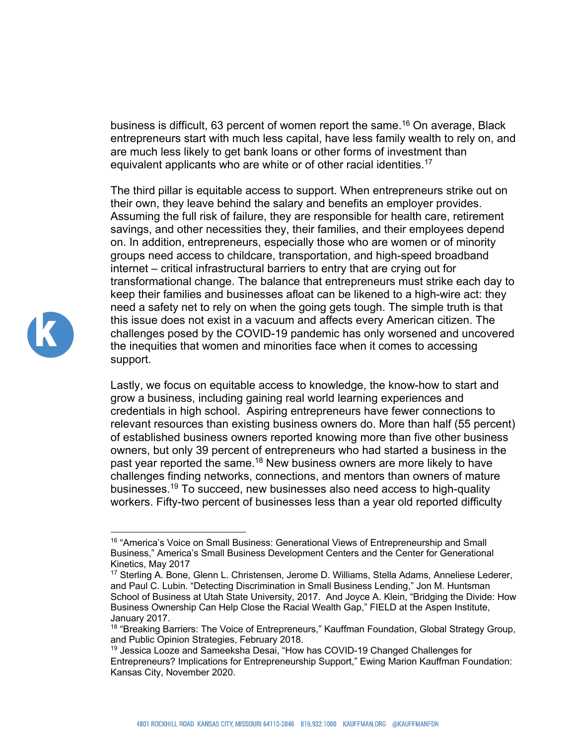business is difficult, 63 percent of women report the same.<sup>16</sup> On average, Black entrepreneurs start with much less capital, have less family wealth to rely on, and are much less likely to get bank loans or other forms of investment than equivalent applicants who are white or of other racial identities.<sup>17</sup>

The third pillar is equitable access to support. When entrepreneurs strike out on their own, they leave behind the salary and benefits an employer provides. Assuming the full risk of failure, they are responsible for health care, retirement savings, and other necessities they, their families, and their employees depend on. In addition, entrepreneurs, especially those who are women or of minority groups need access to childcare, transportation, and high-speed broadband internet – critical infrastructural barriers to entry that are crying out for transformational change. The balance that entrepreneurs must strike each day to keep their families and businesses afloat can be likened to a high-wire act: they need a safety net to rely on when the going gets tough. The simple truth is that this issue does not exist in a vacuum and affects every American citizen. The challenges posed by the COVID-19 pandemic has only worsened and uncovered the inequities that women and minorities face when it comes to accessing support.

Lastly, we focus on equitable access to knowledge, the know-how to start and grow a business, including gaining real world learning experiences and credentials in high school. Aspiring entrepreneurs have fewer connections to relevant resources than existing business owners do. More than half (55 percent) of established business owners reported knowing more than five other business owners, but only 39 percent of entrepreneurs who had started a business in the past year reported the same.<sup>18</sup> New business owners are more likely to have challenges finding networks, connections, and mentors than owners of mature businesses.19 To succeed, new businesses also need access to high-quality workers. Fifty-two percent of businesses less than a year old reported difficulty



<sup>&</sup>lt;sup>16</sup> "America's Voice on Small Business: Generational Views of Entrepreneurship and Small Business," America's Small Business Development Centers and the Center for Generational Kinetics, May 2017

<sup>&</sup>lt;sup>17</sup> Sterling A. Bone, Glenn L. Christensen, Jerome D. Williams, Stella Adams, Anneliese Lederer, and Paul C. Lubin. "Detecting Discrimination in Small Business Lending," Jon M. Huntsman School of Business at Utah State University, 2017. And Joyce A. Klein, "Bridging the Divide: How Business Ownership Can Help Close the Racial Wealth Gap," FIELD at the Aspen Institute, January 2017.

<sup>&</sup>lt;sup>18</sup> "Breaking Barriers: The Voice of Entrepreneurs," Kauffman Foundation, Global Strategy Group, and Public Opinion Strategies, February 2018.

<sup>&</sup>lt;sup>19</sup> Jessica Looze and Sameeksha Desai, "How has COVID-19 Changed Challenges for Entrepreneurs? Implications for Entrepreneurship Support," Ewing Marion Kauffman Foundation: Kansas City, November 2020.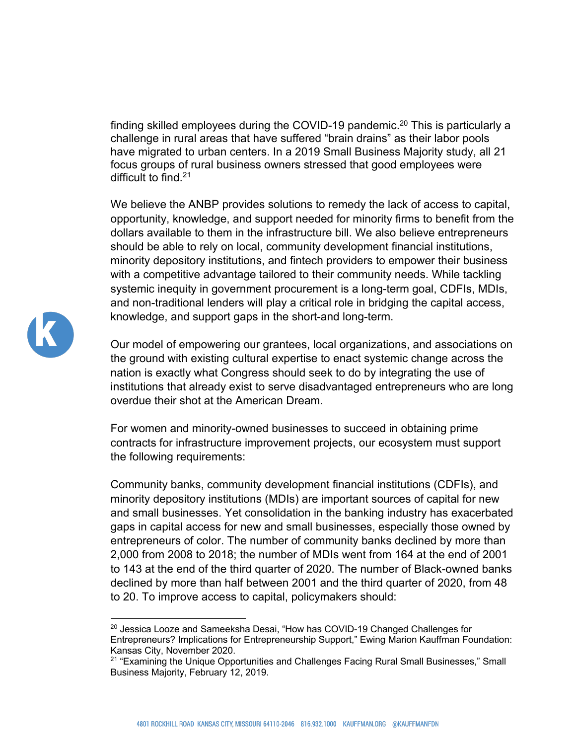finding skilled employees during the COVID-19 pandemic.<sup>20</sup> This is particularly a challenge in rural areas that have suffered "brain drains" as their labor pools have migrated to urban centers. In a 2019 Small Business Majority study, all 21 focus groups of rural business owners stressed that good employees were difficult to find.21

We believe the ANBP provides solutions to remedy the lack of access to capital, opportunity, knowledge, and support needed for minority firms to benefit from the dollars available to them in the infrastructure bill. We also believe entrepreneurs should be able to rely on local, community development financial institutions, minority depository institutions, and fintech providers to empower their business with a competitive advantage tailored to their community needs. While tackling systemic inequity in government procurement is a long-term goal, CDFIs, MDIs, and non-traditional lenders will play a critical role in bridging the capital access, knowledge, and support gaps in the short-and long-term.

Our model of empowering our grantees, local organizations, and associations on the ground with existing cultural expertise to enact systemic change across the nation is exactly what Congress should seek to do by integrating the use of institutions that already exist to serve disadvantaged entrepreneurs who are long overdue their shot at the American Dream.

For women and minority-owned businesses to succeed in obtaining prime contracts for infrastructure improvement projects, our ecosystem must support the following requirements:

Community banks, community development financial institutions (CDFIs), and minority depository institutions (MDIs) are important sources of capital for new and small businesses. Yet consolidation in the banking industry has exacerbated gaps in capital access for new and small businesses, especially those owned by entrepreneurs of color. The number of community banks declined by more than 2,000 from 2008 to 2018; the number of MDIs went from 164 at the end of 2001 to 143 at the end of the third quarter of 2020. The number of Black-owned banks declined by more than half between 2001 and the third quarter of 2020, from 48 to 20. To improve access to capital, policymakers should:



 $^{20}$  Jessica Looze and Sameeksha Desai, "How has COVID-19 Changed Challenges for Entrepreneurs? Implications for Entrepreneurship Support," Ewing Marion Kauffman Foundation: Kansas City, November 2020.

<sup>&</sup>lt;sup>21</sup> "Examining the Unique Opportunities and Challenges Facing Rural Small Businesses," Small Business Majority, February 12, 2019.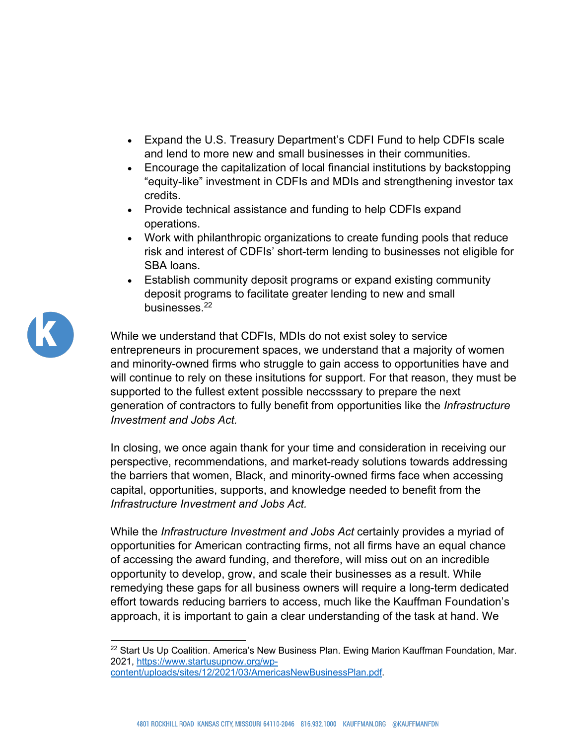- Expand the U.S. Treasury Department's CDFI Fund to help CDFIs scale and lend to more new and small businesses in their communities.
- Encourage the capitalization of local financial institutions by backstopping "equity-like" investment in CDFIs and MDIs and strengthening investor tax credits.
- Provide technical assistance and funding to help CDFIs expand operations.
- Work with philanthropic organizations to create funding pools that reduce risk and interest of CDFIs' short-term lending to businesses not eligible for SBA loans.
- Establish community deposit programs or expand existing community deposit programs to facilitate greater lending to new and small businesses.22

While we understand that CDFIs, MDIs do not exist soley to service entrepreneurs in procurement spaces, we understand that a majority of women and minority-owned firms who struggle to gain access to opportunities have and will continue to rely on these insitutions for support. For that reason, they must be supported to the fullest extent possible neccsssary to prepare the next generation of contractors to fully benefit from opportunities like the *Infrastructure Investment and Jobs Act.*

In closing, we once again thank for your time and consideration in receiving our perspective, recommendations, and market-ready solutions towards addressing the barriers that women, Black, and minority-owned firms face when accessing capital, opportunities, supports, and knowledge needed to benefit from the *Infrastructure Investment and Jobs Act.* 

While the *Infrastructure Investment and Jobs Act* certainly provides a myriad of opportunities for American contracting firms, not all firms have an equal chance of accessing the award funding, and therefore, will miss out on an incredible opportunity to develop, grow, and scale their businesses as a result. While remedying these gaps for all business owners will require a long-term dedicated effort towards reducing barriers to access, much like the Kauffman Foundation's approach, it is important to gain a clear understanding of the task at hand. We



 $22$  Start Us Up Coalition. America's New Business Plan. Ewing Marion Kauffman Foundation, Mar. 2021, https://www.startusupnow.org/wpcontent/uploads/sites/12/2021/03/AmericasNewBusinessPlan.pdf.